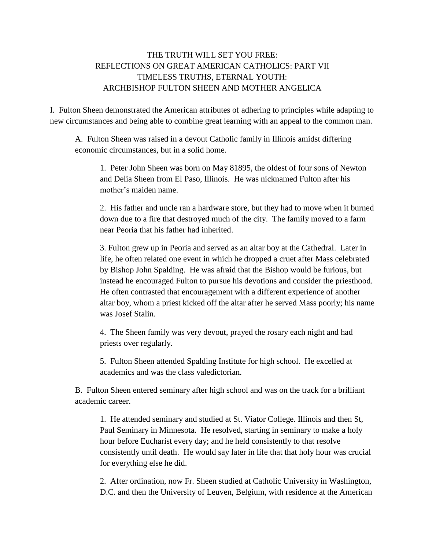## THE TRUTH WILL SET YOU FREE: REFLECTIONS ON GREAT AMERICAN CATHOLICS: PART VII TIMELESS TRUTHS, ETERNAL YOUTH: ARCHBISHOP FULTON SHEEN AND MOTHER ANGELICA

I. Fulton Sheen demonstrated the American attributes of adhering to principles while adapting to new circumstances and being able to combine great learning with an appeal to the common man.

A. Fulton Sheen was raised in a devout Catholic family in Illinois amidst differing economic circumstances, but in a solid home.

1. Peter John Sheen was born on May 81895, the oldest of four sons of Newton and Delia Sheen from El Paso, Illinois. He was nicknamed Fulton after his mother's maiden name.

2. His father and uncle ran a hardware store, but they had to move when it burned down due to a fire that destroyed much of the city. The family moved to a farm near Peoria that his father had inherited.

3. Fulton grew up in Peoria and served as an altar boy at the Cathedral. Later in life, he often related one event in which he dropped a cruet after Mass celebrated by Bishop John Spalding. He was afraid that the Bishop would be furious, but instead he encouraged Fulton to pursue his devotions and consider the priesthood. He often contrasted that encouragement with a different experience of another altar boy, whom a priest kicked off the altar after he served Mass poorly; his name was Josef Stalin.

4. The Sheen family was very devout, prayed the rosary each night and had priests over regularly.

5. Fulton Sheen attended Spalding Institute for high school. He excelled at academics and was the class valedictorian.

B. Fulton Sheen entered seminary after high school and was on the track for a brilliant academic career.

1. He attended seminary and studied at St. Viator College. Illinois and then St, Paul Seminary in Minnesota. He resolved, starting in seminary to make a holy hour before Eucharist every day; and he held consistently to that resolve consistently until death. He would say later in life that that holy hour was crucial for everything else he did.

2. After ordination, now Fr. Sheen studied at Catholic University in Washington, D.C. and then the University of Leuven, Belgium, with residence at the American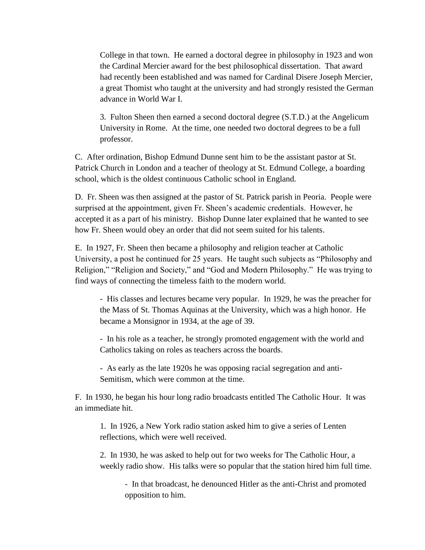College in that town. He earned a doctoral degree in philosophy in 1923 and won the Cardinal Mercier award for the best philosophical dissertation. That award had recently been established and was named for Cardinal Disere Joseph Mercier, a great Thomist who taught at the university and had strongly resisted the German advance in World War I.

3. Fulton Sheen then earned a second doctoral degree (S.T.D.) at the Angelicum University in Rome. At the time, one needed two doctoral degrees to be a full professor.

C. After ordination, Bishop Edmund Dunne sent him to be the assistant pastor at St. Patrick Church in London and a teacher of theology at St. Edmund College, a boarding school, which is the oldest continuous Catholic school in England.

D. Fr. Sheen was then assigned at the pastor of St. Patrick parish in Peoria. People were surprised at the appointment, given Fr. Sheen's academic credentials. However, he accepted it as a part of his ministry. Bishop Dunne later explained that he wanted to see how Fr. Sheen would obey an order that did not seem suited for his talents.

E. In 1927, Fr. Sheen then became a philosophy and religion teacher at Catholic University, a post he continued for 25 years. He taught such subjects as "Philosophy and Religion," "Religion and Society," and "God and Modern Philosophy." He was trying to find ways of connecting the timeless faith to the modern world.

- His classes and lectures became very popular. In 1929, he was the preacher for the Mass of St. Thomas Aquinas at the University, which was a high honor. He became a Monsignor in 1934, at the age of 39.

- In his role as a teacher, he strongly promoted engagement with the world and Catholics taking on roles as teachers across the boards.

- As early as the late 1920s he was opposing racial segregation and anti-Semitism, which were common at the time.

F. In 1930, he began his hour long radio broadcasts entitled The Catholic Hour. It was an immediate hit.

1. In 1926, a New York radio station asked him to give a series of Lenten reflections, which were well received.

2. In 1930, he was asked to help out for two weeks for The Catholic Hour, a weekly radio show. His talks were so popular that the station hired him full time.

- In that broadcast, he denounced Hitler as the anti-Christ and promoted opposition to him.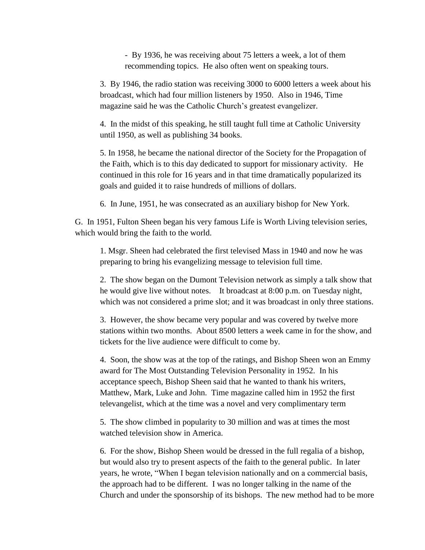- By 1936, he was receiving about 75 letters a week, a lot of them recommending topics. He also often went on speaking tours.

3. By 1946, the radio station was receiving 3000 to 6000 letters a week about his broadcast, which had four million listeners by 1950. Also in 1946, Time magazine said he was the Catholic Church's greatest evangelizer.

4. In the midst of this speaking, he still taught full time at Catholic University until 1950, as well as publishing 34 books.

5. In 1958, he became the national director of the Society for the Propagation of the Faith, which is to this day dedicated to support for missionary activity. He continued in this role for 16 years and in that time dramatically popularized its goals and guided it to raise hundreds of millions of dollars.

6. In June, 1951, he was consecrated as an auxiliary bishop for New York.

G. In 1951, Fulton Sheen began his very famous Life is Worth Living television series, which would bring the faith to the world.

1. Msgr. Sheen had celebrated the first televised Mass in 1940 and now he was preparing to bring his evangelizing message to television full time.

2. The show began on the Dumont Television network as simply a talk show that he would give live without notes. It broadcast at 8:00 p.m. on Tuesday night, which was not considered a prime slot; and it was broadcast in only three stations.

3. However, the show became very popular and was covered by twelve more stations within two months. About 8500 letters a week came in for the show, and tickets for the live audience were difficult to come by.

4. Soon, the show was at the top of the ratings, and Bishop Sheen won an Emmy award for The Most Outstanding Television Personality in 1952. In his acceptance speech, Bishop Sheen said that he wanted to thank his writers, Matthew, Mark, Luke and John. Time magazine called him in 1952 the first televangelist, which at the time was a novel and very complimentary term

5. The show climbed in popularity to 30 million and was at times the most watched television show in America.

6. For the show, Bishop Sheen would be dressed in the full regalia of a bishop, but would also try to present aspects of the faith to the general public. In later years, he wrote, "When I began television nationally and on a commercial basis, the approach had to be different. I was no longer talking in the name of the Church and under the sponsorship of its bishops. The new method had to be more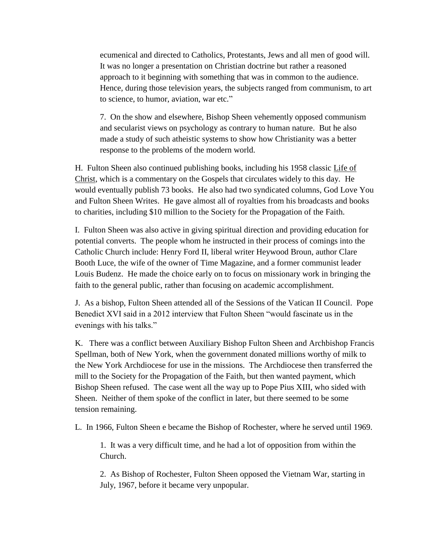ecumenical and directed to Catholics, Protestants, Jews and all men of good will. It was no longer a presentation on Christian doctrine but rather a reasoned approach to it beginning with something that was in common to the audience. Hence, during those television years, the subjects ranged from communism, to art to science, to humor, aviation, war etc."

7. On the show and elsewhere, Bishop Sheen vehemently opposed communism and secularist views on psychology as contrary to human nature. But he also made a study of such atheistic systems to show how Christianity was a better response to the problems of the modern world.

H. Fulton Sheen also continued publishing books, including his 1958 classic Life of Christ, which is a commentary on the Gospels that circulates widely to this day. He would eventually publish 73 books. He also had two syndicated columns, God Love You and Fulton Sheen Writes. He gave almost all of royalties from his broadcasts and books to charities, including \$10 million to the Society for the Propagation of the Faith.

I. Fulton Sheen was also active in giving spiritual direction and providing education for potential converts. The people whom he instructed in their process of comings into the Catholic Church include: Henry Ford II, liberal writer Heywood Broun, author Clare Booth Luce, the wife of the owner of Time Magazine, and a former communist leader Louis Budenz. He made the choice early on to focus on missionary work in bringing the faith to the general public, rather than focusing on academic accomplishment.

J. As a bishop, Fulton Sheen attended all of the Sessions of the Vatican II Council. Pope Benedict XVI said in a 2012 interview that Fulton Sheen "would fascinate us in the evenings with his talks."

K. There was a conflict between Auxiliary Bishop Fulton Sheen and Archbishop Francis Spellman, both of New York, when the government donated millions worthy of milk to the New York Archdiocese for use in the missions. The Archdiocese then transferred the mill to the Society for the Propagation of the Faith, but then wanted payment, which Bishop Sheen refused. The case went all the way up to Pope Pius XIII, who sided with Sheen. Neither of them spoke of the conflict in later, but there seemed to be some tension remaining.

L. In 1966, Fulton Sheen e became the Bishop of Rochester, where he served until 1969.

1. It was a very difficult time, and he had a lot of opposition from within the Church.

2. As Bishop of Rochester, Fulton Sheen opposed the Vietnam War, starting in July, 1967, before it became very unpopular.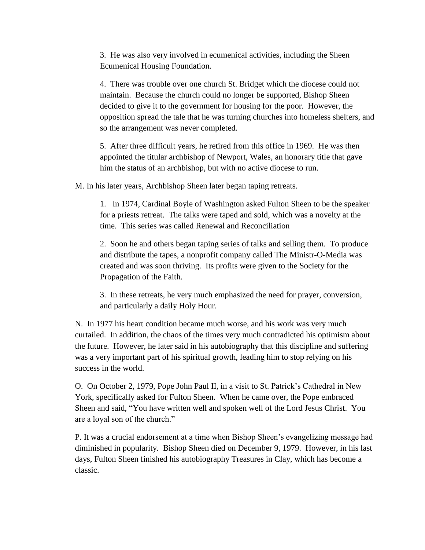3. He was also very involved in ecumenical activities, including the Sheen Ecumenical Housing Foundation.

4. There was trouble over one church St. Bridget which the diocese could not maintain. Because the church could no longer be supported, Bishop Sheen decided to give it to the government for housing for the poor. However, the opposition spread the tale that he was turning churches into homeless shelters, and so the arrangement was never completed.

5. After three difficult years, he retired from this office in 1969. He was then appointed the titular archbishop of Newport, Wales, an honorary title that gave him the status of an archbishop, but with no active diocese to run.

M. In his later years, Archbishop Sheen later began taping retreats.

1. In 1974, Cardinal Boyle of Washington asked Fulton Sheen to be the speaker for a priests retreat. The talks were taped and sold, which was a novelty at the time. This series was called Renewal and Reconciliation

2. Soon he and others began taping series of talks and selling them. To produce and distribute the tapes, a nonprofit company called The Ministr-O-Media was created and was soon thriving. Its profits were given to the Society for the Propagation of the Faith.

3. In these retreats, he very much emphasized the need for prayer, conversion, and particularly a daily Holy Hour.

N. In 1977 his heart condition became much worse, and his work was very much curtailed. In addition, the chaos of the times very much contradicted his optimism about the future. However, he later said in his autobiography that this discipline and suffering was a very important part of his spiritual growth, leading him to stop relying on his success in the world.

O. On October 2, 1979, Pope John Paul II, in a visit to St. Patrick's Cathedral in New York, specifically asked for Fulton Sheen. When he came over, the Pope embraced Sheen and said, "You have written well and spoken well of the Lord Jesus Christ. You are a loyal son of the church."

P. It was a crucial endorsement at a time when Bishop Sheen's evangelizing message had diminished in popularity. Bishop Sheen died on December 9, 1979. However, in his last days, Fulton Sheen finished his autobiography Treasures in Clay, which has become a classic.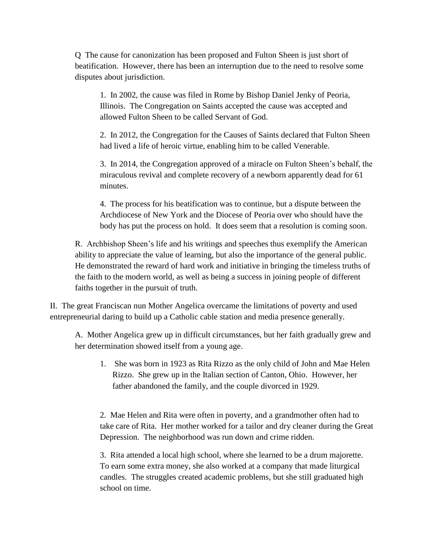Q The cause for canonization has been proposed and Fulton Sheen is just short of beatification. However, there has been an interruption due to the need to resolve some disputes about jurisdiction.

1. In 2002, the cause was filed in Rome by Bishop Daniel Jenky of Peoria, Illinois. The Congregation on Saints accepted the cause was accepted and allowed Fulton Sheen to be called Servant of God.

2. In 2012, the Congregation for the Causes of Saints declared that Fulton Sheen had lived a life of heroic virtue, enabling him to be called Venerable.

3. In 2014, the Congregation approved of a miracle on Fulton Sheen's behalf, the miraculous revival and complete recovery of a newborn apparently dead for 61 minutes.

4. The process for his beatification was to continue, but a dispute between the Archdiocese of New York and the Diocese of Peoria over who should have the body has put the process on hold. It does seem that a resolution is coming soon.

R. Archbishop Sheen's life and his writings and speeches thus exemplify the American ability to appreciate the value of learning, but also the importance of the general public. He demonstrated the reward of hard work and initiative in bringing the timeless truths of the faith to the modern world, as well as being a success in joining people of different faiths together in the pursuit of truth.

II. The great Franciscan nun Mother Angelica overcame the limitations of poverty and used entrepreneurial daring to build up a Catholic cable station and media presence generally.

A. Mother Angelica grew up in difficult circumstances, but her faith gradually grew and her determination showed itself from a young age.

1. She was born in 1923 as Rita Rizzo as the only child of John and Mae Helen Rizzo. She grew up in the Italian section of Canton, Ohio. However, her father abandoned the family, and the couple divorced in 1929.

2. Mae Helen and Rita were often in poverty, and a grandmother often had to take care of Rita. Her mother worked for a tailor and dry cleaner during the Great Depression. The neighborhood was run down and crime ridden.

3. Rita attended a local high school, where she learned to be a drum majorette. To earn some extra money, she also worked at a company that made liturgical candles. The struggles created academic problems, but she still graduated high school on time.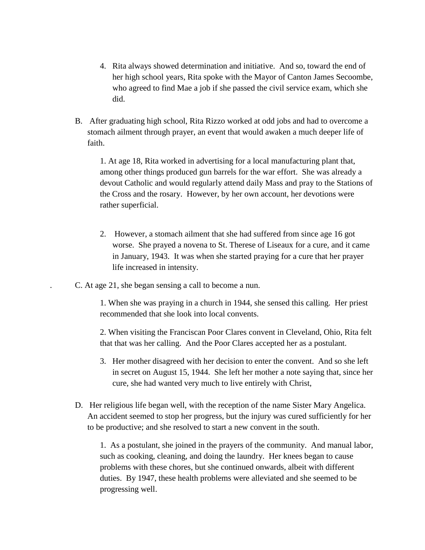- 4. Rita always showed determination and initiative. And so, toward the end of her high school years, Rita spoke with the Mayor of Canton James Secoombe, who agreed to find Mae a job if she passed the civil service exam, which she did.
- B. After graduating high school, Rita Rizzo worked at odd jobs and had to overcome a stomach ailment through prayer, an event that would awaken a much deeper life of faith.

1. At age 18, Rita worked in advertising for a local manufacturing plant that, among other things produced gun barrels for the war effort. She was already a devout Catholic and would regularly attend daily Mass and pray to the Stations of the Cross and the rosary. However, by her own account, her devotions were rather superficial.

- 2. However, a stomach ailment that she had suffered from since age 16 got worse. She prayed a novena to St. Therese of Liseaux for a cure, and it came in January, 1943. It was when she started praying for a cure that her prayer life increased in intensity.
- . C. At age 21, she began sensing a call to become a nun.

1. When she was praying in a church in 1944, she sensed this calling. Her priest recommended that she look into local convents.

2. When visiting the Franciscan Poor Clares convent in Cleveland, Ohio, Rita felt that that was her calling. And the Poor Clares accepted her as a postulant.

- 3. Her mother disagreed with her decision to enter the convent. And so she left in secret on August 15, 1944. She left her mother a note saying that, since her cure, she had wanted very much to live entirely with Christ,
- D. Her religious life began well, with the reception of the name Sister Mary Angelica. An accident seemed to stop her progress, but the injury was cured sufficiently for her to be productive; and she resolved to start a new convent in the south.

1. As a postulant, she joined in the prayers of the community. And manual labor, such as cooking, cleaning, and doing the laundry. Her knees began to cause problems with these chores, but she continued onwards, albeit with different duties. By 1947, these health problems were alleviated and she seemed to be progressing well.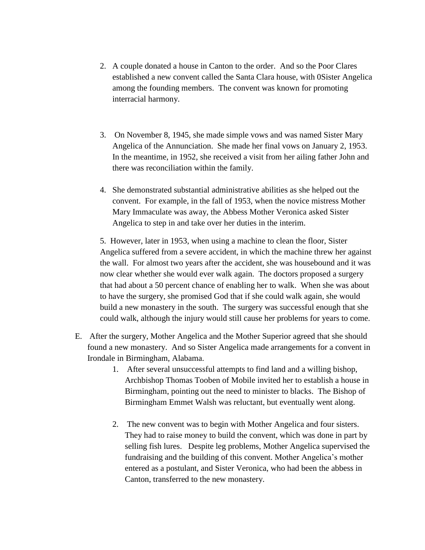- 2. A couple donated a house in Canton to the order. And so the Poor Clares established a new convent called the Santa Clara house, with 0Sister Angelica among the founding members. The convent was known for promoting interracial harmony.
- 3. On November 8, 1945, she made simple vows and was named Sister Mary Angelica of the Annunciation. She made her final vows on January 2, 1953. In the meantime, in 1952, she received a visit from her ailing father John and there was reconciliation within the family.
- 4. She demonstrated substantial administrative abilities as she helped out the convent. For example, in the fall of 1953, when the novice mistress Mother Mary Immaculate was away, the Abbess Mother Veronica asked Sister Angelica to step in and take over her duties in the interim.

5. However, later in 1953, when using a machine to clean the floor, Sister Angelica suffered from a severe accident, in which the machine threw her against the wall. For almost two years after the accident, she was housebound and it was now clear whether she would ever walk again. The doctors proposed a surgery that had about a 50 percent chance of enabling her to walk. When she was about to have the surgery, she promised God that if she could walk again, she would build a new monastery in the south. The surgery was successful enough that she could walk, although the injury would still cause her problems for years to come.

- E. After the surgery, Mother Angelica and the Mother Superior agreed that she should found a new monastery. And so Sister Angelica made arrangements for a convent in Irondale in Birmingham, Alabama.
	- 1. After several unsuccessful attempts to find land and a willing bishop, Archbishop Thomas Tooben of Mobile invited her to establish a house in Birmingham, pointing out the need to minister to blacks. The Bishop of Birmingham Emmet Walsh was reluctant, but eventually went along.
	- 2. The new convent was to begin with Mother Angelica and four sisters. They had to raise money to build the convent, which was done in part by selling fish lures. Despite leg problems, Mother Angelica supervised the fundraising and the building of this convent. Mother Angelica's mother entered as a postulant, and Sister Veronica, who had been the abbess in Canton, transferred to the new monastery.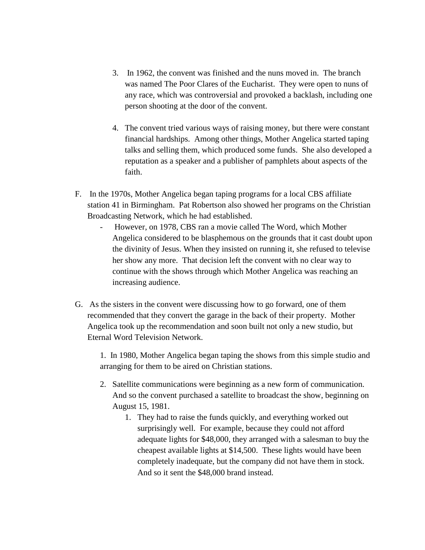- 3. In 1962, the convent was finished and the nuns moved in. The branch was named The Poor Clares of the Eucharist. They were open to nuns of any race, which was controversial and provoked a backlash, including one person shooting at the door of the convent.
- 4. The convent tried various ways of raising money, but there were constant financial hardships. Among other things, Mother Angelica started taping talks and selling them, which produced some funds. She also developed a reputation as a speaker and a publisher of pamphlets about aspects of the faith.
- F. In the 1970s, Mother Angelica began taping programs for a local CBS affiliate station 41 in Birmingham. Pat Robertson also showed her programs on the Christian Broadcasting Network, which he had established.
	- However, on 1978, CBS ran a movie called The Word, which Mother Angelica considered to be blasphemous on the grounds that it cast doubt upon the divinity of Jesus. When they insisted on running it, she refused to televise her show any more. That decision left the convent with no clear way to continue with the shows through which Mother Angelica was reaching an increasing audience.
- G. As the sisters in the convent were discussing how to go forward, one of them recommended that they convert the garage in the back of their property. Mother Angelica took up the recommendation and soon built not only a new studio, but Eternal Word Television Network.

1. In 1980, Mother Angelica began taping the shows from this simple studio and arranging for them to be aired on Christian stations.

- 2. Satellite communications were beginning as a new form of communication. And so the convent purchased a satellite to broadcast the show, beginning on August 15, 1981.
	- 1. They had to raise the funds quickly, and everything worked out surprisingly well. For example, because they could not afford adequate lights for \$48,000, they arranged with a salesman to buy the cheapest available lights at \$14,500. These lights would have been completely inadequate, but the company did not have them in stock. And so it sent the \$48,000 brand instead.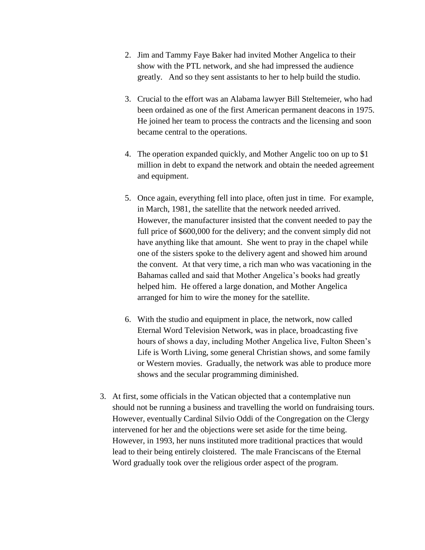- 2. Jim and Tammy Faye Baker had invited Mother Angelica to their show with the PTL network, and she had impressed the audience greatly. And so they sent assistants to her to help build the studio.
- 3. Crucial to the effort was an Alabama lawyer Bill Steltemeier, who had been ordained as one of the first American permanent deacons in 1975. He joined her team to process the contracts and the licensing and soon became central to the operations.
- 4. The operation expanded quickly, and Mother Angelic too on up to \$1 million in debt to expand the network and obtain the needed agreement and equipment.
- 5. Once again, everything fell into place, often just in time. For example, in March, 1981, the satellite that the network needed arrived. However, the manufacturer insisted that the convent needed to pay the full price of \$600,000 for the delivery; and the convent simply did not have anything like that amount. She went to pray in the chapel while one of the sisters spoke to the delivery agent and showed him around the convent. At that very time, a rich man who was vacationing in the Bahamas called and said that Mother Angelica's books had greatly helped him. He offered a large donation, and Mother Angelica arranged for him to wire the money for the satellite.
- 6. With the studio and equipment in place, the network, now called Eternal Word Television Network, was in place, broadcasting five hours of shows a day, including Mother Angelica live, Fulton Sheen's Life is Worth Living, some general Christian shows, and some family or Western movies. Gradually, the network was able to produce more shows and the secular programming diminished.
- 3. At first, some officials in the Vatican objected that a contemplative nun should not be running a business and travelling the world on fundraising tours. However, eventually Cardinal Silvio Oddi of the Congregation on the Clergy intervened for her and the objections were set aside for the time being. However, in 1993, her nuns instituted more traditional practices that would lead to their being entirely cloistered. The male Franciscans of the Eternal Word gradually took over the religious order aspect of the program.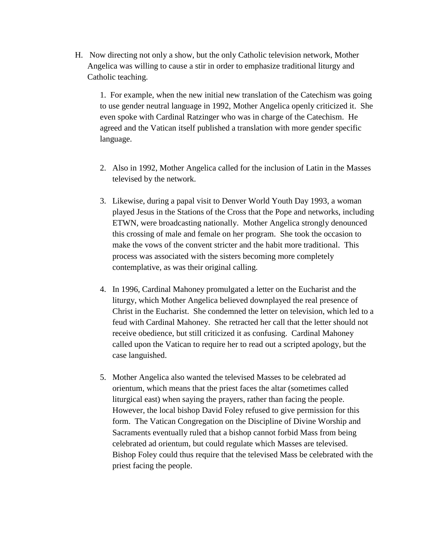H. Now directing not only a show, but the only Catholic television network, Mother Angelica was willing to cause a stir in order to emphasize traditional liturgy and Catholic teaching.

1. For example, when the new initial new translation of the Catechism was going to use gender neutral language in 1992, Mother Angelica openly criticized it. She even spoke with Cardinal Ratzinger who was in charge of the Catechism. He agreed and the Vatican itself published a translation with more gender specific language.

- 2. Also in 1992, Mother Angelica called for the inclusion of Latin in the Masses televised by the network.
- 3. Likewise, during a papal visit to Denver World Youth Day 1993, a woman played Jesus in the Stations of the Cross that the Pope and networks, including ETWN, were broadcasting nationally. Mother Angelica strongly denounced this crossing of male and female on her program. She took the occasion to make the vows of the convent stricter and the habit more traditional. This process was associated with the sisters becoming more completely contemplative, as was their original calling.
- 4. In 1996, Cardinal Mahoney promulgated a letter on the Eucharist and the liturgy, which Mother Angelica believed downplayed the real presence of Christ in the Eucharist. She condemned the letter on television, which led to a feud with Cardinal Mahoney. She retracted her call that the letter should not receive obedience, but still criticized it as confusing. Cardinal Mahoney called upon the Vatican to require her to read out a scripted apology, but the case languished.
- 5. Mother Angelica also wanted the televised Masses to be celebrated ad orientum, which means that the priest faces the altar (sometimes called liturgical east) when saying the prayers, rather than facing the people. However, the local bishop David Foley refused to give permission for this form. The Vatican Congregation on the Discipline of Divine Worship and Sacraments eventually ruled that a bishop cannot forbid Mass from being celebrated ad orientum, but could regulate which Masses are televised. Bishop Foley could thus require that the televised Mass be celebrated with the priest facing the people.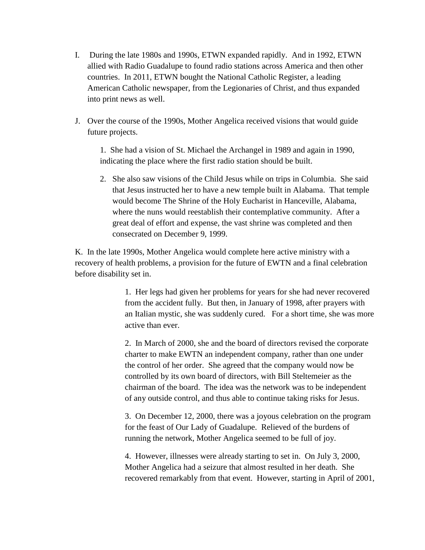- I. During the late 1980s and 1990s, ETWN expanded rapidly. And in 1992, ETWN allied with Radio Guadalupe to found radio stations across America and then other countries. In 2011, ETWN bought the National Catholic Register, a leading American Catholic newspaper, from the Legionaries of Christ, and thus expanded into print news as well.
- J. Over the course of the 1990s, Mother Angelica received visions that would guide future projects.

1. She had a vision of St. Michael the Archangel in 1989 and again in 1990, indicating the place where the first radio station should be built.

2. She also saw visions of the Child Jesus while on trips in Columbia. She said that Jesus instructed her to have a new temple built in Alabama. That temple would become The Shrine of the Holy Eucharist in Hanceville, Alabama, where the nuns would reestablish their contemplative community. After a great deal of effort and expense, the vast shrine was completed and then consecrated on December 9, 1999.

K. In the late 1990s, Mother Angelica would complete here active ministry with a recovery of health problems, a provision for the future of EWTN and a final celebration before disability set in.

> 1. Her legs had given her problems for years for she had never recovered from the accident fully. But then, in January of 1998, after prayers with an Italian mystic, she was suddenly cured. For a short time, she was more active than ever.

2. In March of 2000, she and the board of directors revised the corporate charter to make EWTN an independent company, rather than one under the control of her order. She agreed that the company would now be controlled by its own board of directors, with Bill Steltemeier as the chairman of the board. The idea was the network was to be independent of any outside control, and thus able to continue taking risks for Jesus.

3. On December 12, 2000, there was a joyous celebration on the program for the feast of Our Lady of Guadalupe. Relieved of the burdens of running the network, Mother Angelica seemed to be full of joy.

4. However, illnesses were already starting to set in. On July 3, 2000, Mother Angelica had a seizure that almost resulted in her death. She recovered remarkably from that event. However, starting in April of 2001,